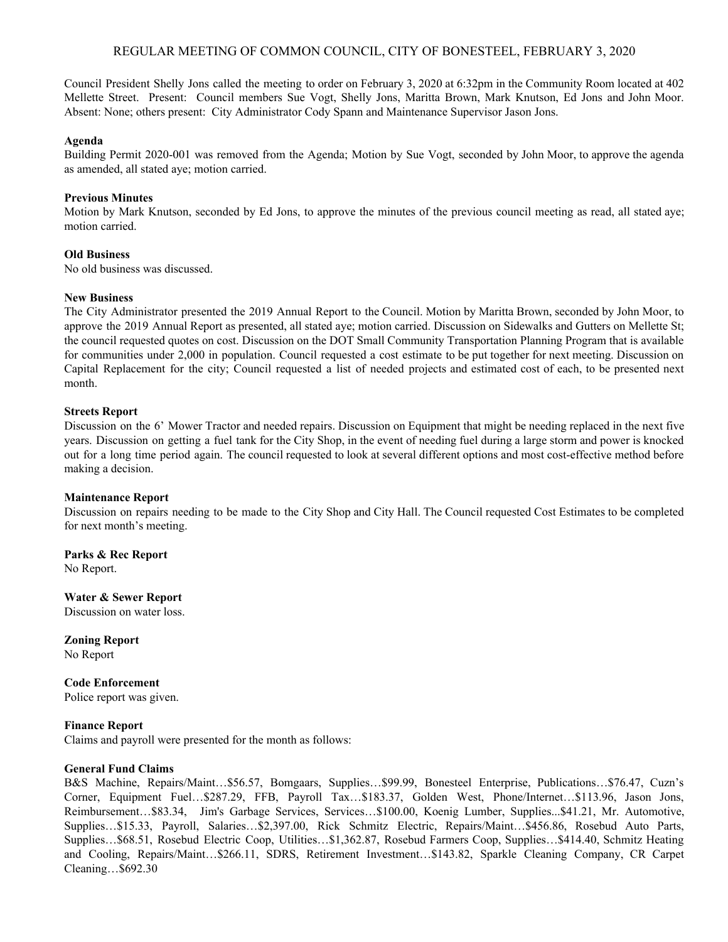# REGULAR MEETING OF COMMON COUNCIL, CITY OF BONESTEEL, FEBRUARY 3, 2020

Council President Shelly Jons called the meeting to order on February 3, 2020 at 6:32pm in the Community Room located at 402 Mellette Street. Present: Council members Sue Vogt, Shelly Jons, Maritta Brown, Mark Knutson, Ed Jons and John Moor. Absent: None; others present: City Administrator Cody Spann and Maintenance Supervisor Jason Jons.

## **Agenda**

Building Permit 2020-001 was removed from the Agenda; Motion by Sue Vogt, seconded by John Moor, to approve the agenda as amended, all stated aye; motion carried.

## **Previous Minutes**

Motion by Mark Knutson, seconded by Ed Jons, to approve the minutes of the previous council meeting as read, all stated aye; motion carried.

## **Old Business**

No old business was discussed.

## **New Business**

The City Administrator presented the 2019 Annual Report to the Council. Motion by Maritta Brown, seconded by John Moor, to approve the 2019 Annual Report as presented, all stated aye; motion carried. Discussion on Sidewalks and Gutters on Mellette St; the council requested quotes on cost. Discussion on the DOT Small Community Transportation Planning Program that is available for communities under 2,000 in population. Council requested a cost estimate to be put together for next meeting. Discussion on Capital Replacement for the city; Council requested a list of needed projects and estimated cost of each, to be presented next month.

## **Streets Report**

Discussion on the 6' Mower Tractor and needed repairs. Discussion on Equipment that might be needing replaced in the next five years. Discussion on getting a fuel tank for the City Shop, in the event of needing fuel during a large storm and power is knocked out for a long time period again. The council requested to look at several different options and most cost-effective method before making a decision.

#### **Maintenance Report**

Discussion on repairs needing to be made to the City Shop and City Hall. The Council requested Cost Estimates to be completed for next month's meeting.

**Parks & Rec Report** No Report.

**Water & Sewer Report** Discussion on water loss.

**Zoning Report** No Report

**Code Enforcement** Police report was given.

# **Finance Report**

Claims and payroll were presented for the month as follows:

#### **General Fund Claims**

B&S Machine, Repairs/Maint…\$56.57, Bomgaars, Supplies…\$99.99, Bonesteel Enterprise, Publications…\$76.47, Cuzn's Corner, Equipment Fuel…\$287.29, FFB, Payroll Tax…\$183.37, Golden West, Phone/Internet…\$113.96, Jason Jons, Reimbursement…\$83.34, Jim's Garbage Services, Services…\$100.00, Koenig Lumber, Supplies...\$41.21, Mr. Automotive, Supplies…\$15.33, Payroll, Salaries…\$2,397.00, Rick Schmitz Electric, Repairs/Maint…\$456.86, Rosebud Auto Parts, Supplies…\$68.51, Rosebud Electric Coop, Utilities…\$1,362.87, Rosebud Farmers Coop, Supplies…\$414.40, Schmitz Heating and Cooling, Repairs/Maint…\$266.11, SDRS, Retirement Investment…\$143.82, Sparkle Cleaning Company, CR Carpet Cleaning…\$692.30